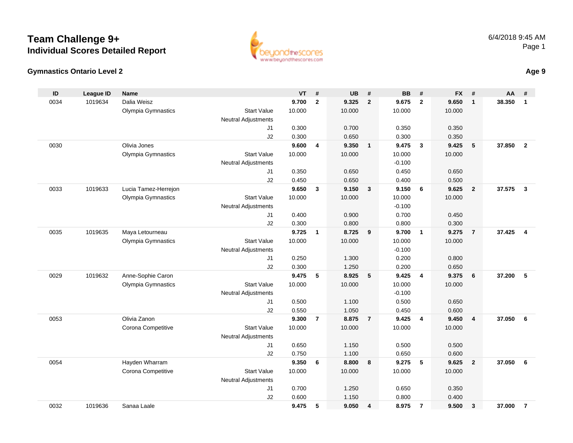## **Team Challenge 9+Individual Scores Detailed Report**



**ID**

0034

0030

0033

0035

0029

| euondinescores          |
|-------------------------|
| www.beyondthescores.com |

| D   | League ID | <b>Name</b>          |                            | VT.    | #              | UB     | #                       | BВ       | #            | FX.    | #              | AA     |   |
|-----|-----------|----------------------|----------------------------|--------|----------------|--------|-------------------------|----------|--------------|--------|----------------|--------|---|
| )34 | 1019634   | Dalia Weisz          |                            | 9.700  | $\mathbf{2}$   | 9.325  | $\overline{2}$          | 9.675    | $\mathbf{2}$ | 9.650  | 1              | 38.350 |   |
|     |           | Olympia Gymnastics   | <b>Start Value</b>         | 10.000 |                | 10.000 |                         | 10.000   |              | 10.000 |                |        |   |
|     |           |                      | <b>Neutral Adjustments</b> |        |                |        |                         |          |              |        |                |        |   |
|     |           |                      | J1                         | 0.300  |                | 0.700  |                         | 0.350    |              | 0.350  |                |        |   |
|     |           |                      | J2                         | 0.300  |                | 0.650  |                         | 0.300    |              | 0.350  |                |        |   |
| 30  |           | Olivia Jones         |                            | 9.600  | $\overline{4}$ | 9.350  | $\overline{\mathbf{1}}$ | 9.475    | 3            | 9.425  | 5              | 37.850 |   |
|     |           | Olympia Gymnastics   | <b>Start Value</b>         | 10.000 |                | 10.000 |                         | 10.000   |              | 10.000 |                |        |   |
|     |           |                      | Neutral Adjustments        |        |                |        |                         | $-0.100$ |              |        |                |        |   |
|     |           |                      | J1                         | 0.350  |                | 0.650  |                         | 0.450    |              | 0.650  |                |        |   |
|     |           |                      | J2                         | 0.450  |                | 0.650  |                         | 0.400    |              | 0.500  |                |        |   |
| )33 | 1019633   | Lucia Tamez-Herrejon |                            | 9.650  | 3              | 9.150  | $\overline{\mathbf{3}}$ | 9.150    | 6            | 9.625  | $\overline{2}$ | 37.575 | 3 |
|     |           | Olympia Gymnastics   | <b>Start Value</b>         | 10.000 |                | 10.000 |                         | 10.000   |              | 10.000 |                |        |   |
|     |           |                      | Neutral Adjustments        |        |                |        |                         | $-0.100$ |              |        |                |        |   |
|     |           |                      | J <sub>1</sub>             | 0.400  |                | 0.900  |                         | 0.700    |              | 0.450  |                |        |   |
|     |           |                      | J2                         | 0.300  |                | 0.800  |                         | 0.800    |              | 0.300  |                |        |   |
| )35 | 1019635   | Maya Letourneau      |                            | 9.725  | $\mathbf 1$    | 8.725  | 9                       | 9.700    | 1            | 9.275  | $\overline{7}$ | 37.425 |   |
|     |           | Olympia Gymnastics   | <b>Start Value</b>         | 10.000 |                | 10.000 |                         | 10.000   |              | 10.000 |                |        |   |
|     |           |                      | <b>Neutral Adjustments</b> |        |                |        |                         | $-0.100$ |              |        |                |        |   |
|     |           |                      | J1                         | 0.250  |                | 1.300  |                         | 0.200    |              | 0.800  |                |        |   |
|     |           |                      | J2                         | 0.300  |                | 1.250  |                         | 0.200    |              | 0.650  |                |        |   |
| )29 | 1019632   | Anne-Sophie Caron    |                            | 9.475  | 5              | 8.925  | -5                      | 9.425    | 4            | 9.375  | 6              | 37.200 | 5 |
|     |           | Olympia Gymnastics   | <b>Start Value</b>         | 10.000 |                | 10.000 |                         | 10.000   |              | 10.000 |                |        |   |
|     |           |                      | Neutral Adjustments        |        |                |        |                         | $-0.100$ |              |        |                |        |   |
|     |           |                      | J1                         | 0.500  |                | 1.100  |                         | 0.500    |              | 0.650  |                |        |   |

|      |         |                    | <b>Neutral Adjustments</b> |        |     |        |     | $-0.100$ |     |        |                         |          |  |
|------|---------|--------------------|----------------------------|--------|-----|--------|-----|----------|-----|--------|-------------------------|----------|--|
|      |         |                    | J1                         | 0.500  |     | 1.100  |     | 0.500    |     | 0.650  |                         |          |  |
|      |         |                    | J <sub>2</sub>             | 0.550  |     | 1.050  |     | 0.450    |     | 0.600  |                         |          |  |
| 0053 |         | Olivia Zanon       |                            | 9.300  | - 7 | 8.875  | - 7 | 9.425    | -4  | 9.450  | -4                      | 37.050 6 |  |
|      |         | Corona Competitive | <b>Start Value</b>         | 10.000 |     | 10.000 |     | 10.000   |     | 10.000 |                         |          |  |
|      |         |                    | <b>Neutral Adjustments</b> |        |     |        |     |          |     |        |                         |          |  |
|      |         |                    | J1                         | 0.650  |     | 1.150  |     | 0.500    |     | 0.500  |                         |          |  |
|      |         |                    | J <sub>2</sub>             | 0.750  |     | 1.100  |     | 0.650    |     | 0.600  |                         |          |  |
| 0054 |         | Hayden Wharram     |                            | 9.350  | - 6 | 8.800  | 8   | 9.275    | - 5 | 9.625  | $\overline{\mathbf{2}}$ | 37.050 6 |  |
|      |         | Corona Competitive | <b>Start Value</b>         | 10.000 |     | 10.000 |     | 10.000   |     | 10.000 |                         |          |  |
|      |         |                    | <b>Neutral Adjustments</b> |        |     |        |     |          |     |        |                         |          |  |
|      |         |                    | J <sub>1</sub>             | 0.700  |     | 1.250  |     | 0.650    |     | 0.350  |                         |          |  |
|      |         |                    | J <sub>2</sub>             | 0.600  |     | 1.150  |     | 0.800    |     | 0.400  |                         |          |  |
| 0032 | 1019636 | Sanaa Laale        |                            | 9.475  | - 5 | 9.050  | - 4 | 8.975    | 7   | 9.500  | - 3                     | 37.000   |  |
|      |         |                    |                            |        |     |        |     |          |     |        |                         |          |  |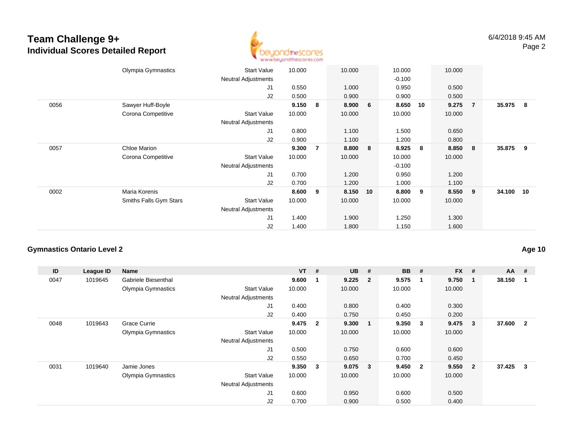# **Team Challenge 9+ Individual Scores Detailed Report**



| Olympia Gymnastics     | <b>Start Value</b>         | 10.000 |                | 10.000 |    | 10.000   |    | 10.000 |                |                                   |
|------------------------|----------------------------|--------|----------------|--------|----|----------|----|--------|----------------|-----------------------------------|
|                        | <b>Neutral Adjustments</b> |        |                |        |    | $-0.100$ |    |        |                |                                   |
|                        | J1                         | 0.550  |                | 1.000  |    | 0.950    |    | 0.500  |                |                                   |
|                        | J2                         | 0.500  |                | 0.900  |    | 0.900    |    | 0.500  |                |                                   |
| Sawyer Huff-Boyle      |                            | 9.150  | 8              | 8.900  | 6  | 8.650    | 10 | 9.275  | $\overline{7}$ |                                   |
| Corona Competitive     | <b>Start Value</b>         | 10.000 |                | 10.000 |    | 10.000   |    | 10.000 |                |                                   |
|                        | Neutral Adjustments        |        |                |        |    |          |    |        |                |                                   |
|                        | J1                         | 0.800  |                | 1.100  |    | 1.500    |    | 0.650  |                |                                   |
|                        | J2                         | 0.900  |                | 1.100  |    | 1.200    |    | 0.800  |                |                                   |
| Chloe Marion           |                            | 9.300  | $\overline{7}$ | 8.800  | 8  | 8.925    | 8  | 8.850  | 8              |                                   |
| Corona Competitive     | <b>Start Value</b>         | 10.000 |                | 10.000 |    | 10.000   |    | 10.000 |                |                                   |
|                        | Neutral Adjustments        |        |                |        |    | $-0.100$ |    |        |                |                                   |
|                        | J1                         | 0.700  |                | 1.200  |    | 0.950    |    | 1.200  |                |                                   |
|                        | J2                         | 0.700  |                | 1.200  |    | 1.000    |    | 1.100  |                |                                   |
| Maria Korenis          |                            | 8.600  | 9              | 8.150  | 10 | 8.800    | 9  | 8.550  | 9              |                                   |
| Smiths Falls Gym Stars | <b>Start Value</b>         | 10.000 |                | 10.000 |    | 10.000   |    | 10.000 |                |                                   |
|                        | <b>Neutral Adjustments</b> |        |                |        |    |          |    |        |                |                                   |
|                        | J1                         | 1.400  |                | 1.900  |    | 1.250    |    | 1.300  |                |                                   |
|                        | J2                         | 1.400  |                | 1.800  |    | 1.150    |    | 1.600  |                |                                   |
|                        |                            |        |                |        |    |          |    |        |                | 35.975 8<br>35.875 9<br>34.100 10 |

### **Gymnastics Ontario Level 2**

| ID   | League ID | Name                |                            | $VT$ # |                | <b>UB</b> | #                       | <b>BB</b> | #                       | <b>FX</b> | #              | $AA$ #   |                |
|------|-----------|---------------------|----------------------------|--------|----------------|-----------|-------------------------|-----------|-------------------------|-----------|----------------|----------|----------------|
| 0047 | 1019645   | Gabriele Biesenthal |                            | 9.600  |                | 9.225     | $\overline{\mathbf{2}}$ | 9.575     | $\mathbf 1$             | 9.750     |                | 38.150   |                |
|      |           | Olympia Gymnastics  | <b>Start Value</b>         | 10.000 |                | 10.000    |                         | 10.000    |                         | 10.000    |                |          |                |
|      |           |                     | <b>Neutral Adjustments</b> |        |                |           |                         |           |                         |           |                |          |                |
|      |           |                     | J1                         | 0.400  |                | 0.800     |                         | 0.400     |                         | 0.300     |                |          |                |
|      |           |                     | J2                         | 0.400  |                | 0.750     |                         | 0.450     |                         | 0.200     |                |          |                |
| 0048 | 1019643   | <b>Grace Currie</b> |                            | 9.475  | $\overline{2}$ | 9.300     | $\blacksquare$          | 9.350     | - 3                     | 9.475     | 3              | 37.600   | $\overline{2}$ |
|      |           | Olympia Gymnastics  | <b>Start Value</b>         | 10.000 |                | 10.000    |                         | 10.000    |                         | 10.000    |                |          |                |
|      |           |                     | <b>Neutral Adjustments</b> |        |                |           |                         |           |                         |           |                |          |                |
|      |           |                     | J <sub>1</sub>             | 0.500  |                | 0.750     |                         | 0.600     |                         | 0.600     |                |          |                |
|      |           |                     | J2                         | 0.550  |                | 0.650     |                         | 0.700     |                         | 0.450     |                |          |                |
| 0031 | 1019640   | Jamie Jones         |                            | 9.350  | $_{3}$         | $9.075$ 3 |                         | 9.450     | $\overline{\mathbf{2}}$ | 9.550     | $\overline{2}$ | 37.425 3 |                |
|      |           | Olympia Gymnastics  | <b>Start Value</b>         | 10.000 |                | 10.000    |                         | 10.000    |                         | 10.000    |                |          |                |
|      |           |                     | <b>Neutral Adjustments</b> |        |                |           |                         |           |                         |           |                |          |                |
|      |           |                     | J1                         | 0.600  |                | 0.950     |                         | 0.600     |                         | 0.500     |                |          |                |
|      |           |                     | J <sub>2</sub>             | 0.700  |                | 0.900     |                         | 0.500     |                         | 0.400     |                |          |                |

**Age 10**